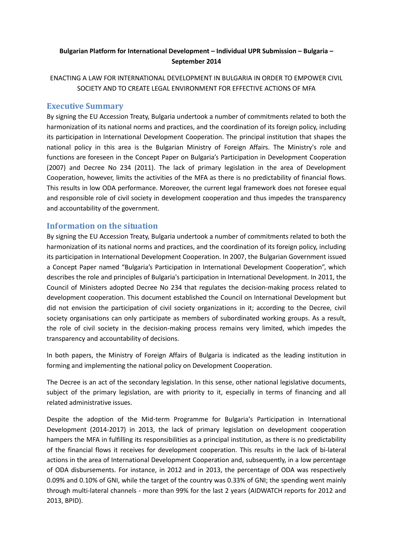## **Bulgarian Platform for International Development – Individual UPR Submission – Bulgaria – September 2014**

ENACTING A LAW FOR INTERNATIONAL DEVELOPMENT IN BULGARIA IN ORDER TO EMPOWER CIVIL SOCIETY AND TO CREATE LEGAL ENVIRONMENT FOR EFFECTIVE ACTIONS OF MFA

## **Executive Summary**

By signing the EU Accession Treaty, Bulgaria undertook a number of commitments related to both the harmonization of its national norms and practices, and the coordination of its foreign policy, including its participation in International Development Cooperation. The principal institution that shapes the national policy in this area is the Bulgarian Ministry of Foreign Affairs. The Ministry's role and functions are foreseen in the Concept Paper on Bulgaria's Participation in Development Cooperation (2007) and Decree No 234 (2011). The lack of primary legislation in the area of Development Cooperation, however, limits the activities of the MFA as there is no predictability of financial flows. This results in low ODA performance. Moreover, the current legal framework does not foresee equal and responsible role of civil society in development cooperation and thus impedes the transparency and accountability of the government.

## **Information on the situation**

By signing the EU Accession Treaty, Bulgaria undertook a number of commitments related to both the harmonization of its national norms and practices, and the coordination of its foreign policy, including its participation in International Development Cooperation. In 2007, the Bulgarian Government issued a Concept Paper named "Bulgaria's Participation in International Development Cooperation", which describes the role and principles of Bulgaria's participation in International Development. In 2011, the Council of Ministers adopted Decree No 234 that regulates the decision-making process related to development cooperation. This document established the Council on International Development but did not envision the participation of civil society organizations in it; according to the Decree, civil society organisations can only participate as members of subordinated working groups. As a result, the role of civil society in the decision-making process remains very limited, which impedes the transparency and accountability of decisions.

In both papers, the Ministry of Foreign Affairs of Bulgaria is indicated as the leading institution in forming and implementing the national policy on Development Cooperation.

The Decree is an act of the secondary legislation. In this sense, other national legislative documents, subject of the primary legislation, are with priority to it, especially in terms of financing and all related administrative issues.

Despite the adoption of the Mid-term Programme for Bulgaria's Participation in International Development (2014-2017) in 2013, the lack of primary legislation on development cooperation hampers the MFA in fulfilling its responsibilities as a principal institution, as there is no predictability of the financial flows it receives for development cooperation. This results in the lack of bi-lateral actions in the area of International Development Cooperation and, subsequently, in a low percentage of ODA disbursements. For instance, in 2012 and in 2013, the percentage of ODA was respectively 0.09% and 0.10% of GNI, while the target of the country was 0.33% of GNI; the spending went mainly through multi-lateral channels - more than 99% for the last 2 years (AIDWATCH reports for 2012 and 2013, BPID).